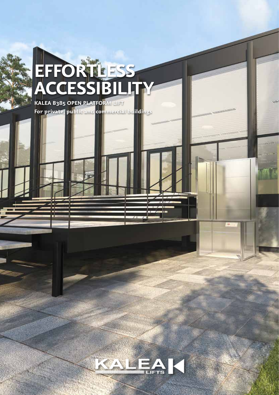# **EFFORTLESS ACCESSIBILITY KALEA B385 OPEN PLATFORM LIFT**

**For private, public and commercial buildings**



**FEB**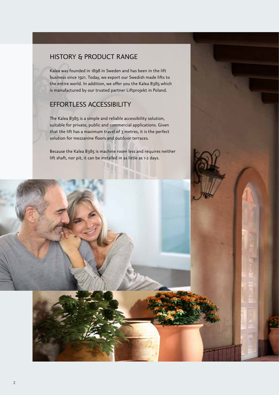#### HISTORY & PRODUCT RANGE

Kalea was founded in 1898 in Sweden and has been in the lift business since 1921. Today, we export our Swedish made lifts to the entire world. In addition, we offer you the Kalea B385 which is manufactured by our trusted partner Liftprojekt in Poland.

#### EFFORTLESS ACCESSIBILITY

The Kalea B385 is a simple and reliable accessibility solution, suitable for private, public and commercial applications. Given that the lift has a maximum travel of 3 metres, it is the perfect solution for mezzanine floors and outdoor terraces.

Because the Kalea B385 is machine room less and requires neither lift shaft, nor pit, it can be installed in as little as 1-2 days.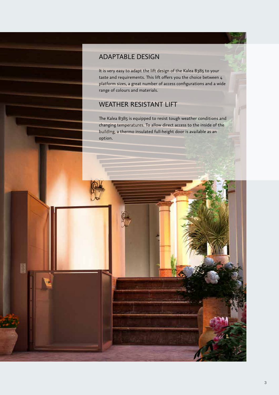### ADAPTABLE DESIGN

It is very easy to adapt the lift design of the Kalea B385 to your taste and requirements. This lift offers you the choice between 4 platform sizes, a great number of access configurations and a wide range of colours and materials.

### WEATHER RESISTANT LIFT

 $\overline{\mathbf{S}}$ 

The Kalea B385 is equipped to resist tough weather conditions and changing temperatures. To allow direct access to the inside of the building, a thermo insulated full-height door is available as an option.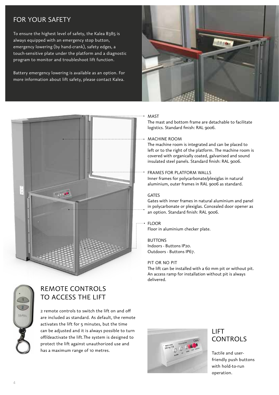### FOR YOUR SAFETY

To ensure the highest level of safety, the Kalea B385 is always equipped with an emergency stop button, emergency lowering (by hand-crank), safety edges, a touch-sensitive plate under the platform and a diagnostic program to monitor and troubleshoot lift function.

Battery emergency lowering is available as an option. For more information about lift safety, please contact Kalea.



#### MAST

The mast and bottom frame are detachable to facilitate logistics. Standard finish: RAL 9006.

#### MACHINE ROOM

The machine room is integrated and can be placed to left or to the right of the platform. The machine room is covered with organically coated, galvanised and sound insulated steel panels. Standard finish: RAL 9006.

#### FRAMES FOR PLATFORM WALLS

Inner frames for polycarbonate/plexiglas in natural aluminium, outer frames in RAL 9006 as standard.

#### **GATES**

Gates with inner frames in natural aluminium and panel in polycarbonate or plexiglas. Concealed door opener as an option. Standard finish: RAL 9006.

#### FLOOR Floor in aluminium checker plate.

**BUTTONS** Indoors - Buttons IP20. Outdoors - Buttons IP67.

#### PIT OR NO PIT

The lift can be installed with a 60 mm pit or without pit. An access ramp for installation without pit is always delivered.



### REMOTE CONTROLS TO ACCESS THE LIFT

2 remote controls to switch the lift on and off are included as standard. As default, the remote activates the lift for 5 minutes, but the time can be adjusted and it is always possible to turn off/deactivate the lift.The system is designed to protect the lift against unauthorized use and has a maximum range of 10 metres.



### LIFT CONTROLS

Tactile and userfriendly push buttons with hold-to-run operation.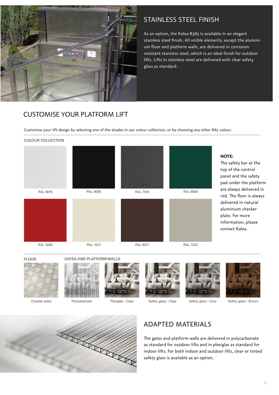

### STAINLESS STEEL FINISH

As an option, the Kalea B385 is available in an elegant stainless steel finish. All visible elements, except the aluminium floor and platform walls, are delivered in corrosion resistant stainless steel, which is an ideal finish for outdoor lifts. Lifts in stainless steel are delivered with clear safety glass as standard.

### CUSTOMISE YOUR PLATFORM LIFT

Customise your lift design by selecting one of the shades in our colour collection, or by choosing any other RAL colour.



**NOTE:**

The safety bar at the top of the control panel and the safety pad under the platform are always delivered in red. The floor is always delivered in natural aluminium checker plate. For more information, please contact Kalea.

**FLOOR GATES AND PLATFORM WALLS**











Checker plate Polycarbonate Plexiglas - Clear Safety glass - Clear Safety glass - Grey Safety glass - Brown



### ADAPTED MATERIALS

The gates and platform walls are delivered in polycarbonate as standard for outdoor lifts and in plexiglas as standard for indoor lifts. For both indoor and outdoor lifts, clear or tinted safety glass is available as an option.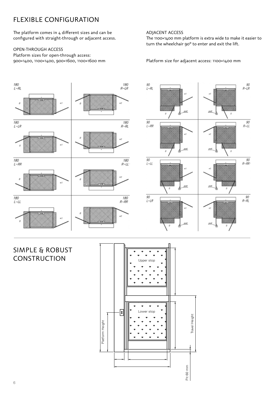### FLEXIBLE CONFIGURATION

The platform comes in 4 different sizes and can be configured with straight-through or adjacent access.

#### OPEN-THROUGH ACCESS

Platform sizes for open-through access: 900×1400, 1100×1400, 900×1600, 1100×1600 mm

#### ADJACENT ACCESS

The 1100×1400 mm platform is extra wide to make it easier to turn the wheelchair 90° to enter and exit the lift.

Platform size for adjacent access: 1100×1400 mm



### SIMPLE & ROBUST CONSTRUCTION

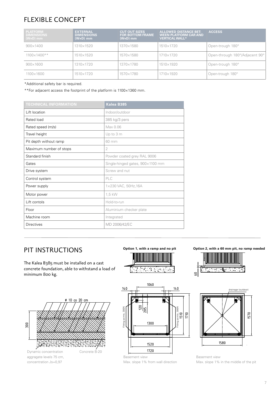## FLEXIBLE CONCEPT

| <b>PLATFORM</b><br><b>DIMENSIONS</b><br>$(WxD)$ mm | <b>EXTERNAL</b><br><b>DIMENSIONS</b><br>$(WxD)$ mm | <b>CUT OUT SIZES</b><br><b>FOR BOTTOM FRAME</b><br>$(WxD)$ mm | <b>ALLOWED DISTANCE BET-</b><br><b>WEEN PLATFORM CAR AND</b><br><b>VERTICAL WALL*</b> | <b>ACCESS</b>                  |
|----------------------------------------------------|----------------------------------------------------|---------------------------------------------------------------|---------------------------------------------------------------------------------------|--------------------------------|
| $900\times1400$                                    | 1310×1520                                          | 1370×1580                                                     | 1510×1720                                                                             | Open-trough 180°               |
| $1100\times1400**$                                 | 1510×1520                                          | 1570×1580                                                     | 1710×1720                                                                             | Open-through 180°/Adjacent 90° |
| $900 \times 1600$                                  | 1310×1720                                          | 1370×1780                                                     | 1510×1920                                                                             | Open-trough 180°               |
| 1100×1600                                          | 1510×1720                                          | 1570×1780                                                     | 1710×1920                                                                             | Open-trough 180°               |

\*Additional safety bar is required.

\*\*For adjacent access the footprint of the platform is 1100×1360 mm.

| <b>TECHNICAL INFORMATION</b> | Kalea B385                       |
|------------------------------|----------------------------------|
| Lift location                | Indoor/outdoor                   |
| Rated load                   | 385 kg/3 pers                    |
| Rated speed (m/s)            | Max 0.06                         |
| Travel height                | Up to 3 m                        |
| Pit depth without ramp       | 60 mm                            |
| Maximum number of stops      | 2                                |
| Standard finish              | Powder coated grey RAL 9006      |
| Gates                        | Single-hinged gates, 900×1100 mm |
| Drive system                 | Screw and nut                    |
| Control system               | PLC                              |
| Power supply                 | 1×230 VAC, 50Hz, 16A             |
| Motor power                  | 1,5 kW                           |
| Lift contols                 | Hold-to-run                      |
| Floor                        | Aluminium checker plate          |
| Machine room                 | Integrated                       |
| Directives                   | MD 2006/42/EC                    |

### C C C C PIT INSTRUCTIONS

The Kalea B385 must be installed on a cast concrete foundation, able to withstand a load of minimum 800 kg.



concentration Js=0,97





Max. slope 1% from wall direction

**Option 1, with a ramp and no pit Option 2, with a 60 mm pit, no ramp needed**





Basement view Max. slope 1% in the middle of the pit